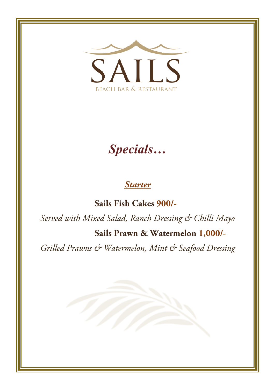

# *Specials…*

### *Starter*

**Sails Fish Cakes 900/-**

*Served with Mixed Salad, Ranch Dressing & Chilli Mayo*

#### **Sails Prawn & Watermelon 1,000/-**

*Grilled Prawns & Watermelon, Mint & Seafood Dressing*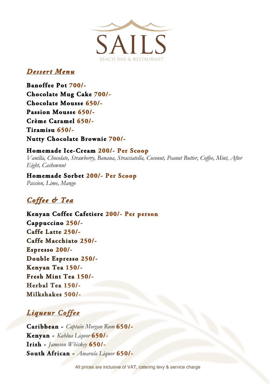

### *Dessert Menu*

**Banoffee Pot 700/- Chocolate Mug Cake 700/- Chocolate Mousse 650/- Passion Mousse 650/- Crème Caramel 650/- Tiramisu 650/- Nutty Chocolate Brownie 700/-** 

### **Homemade Ice-Cream 200/- Per Scoop**

*Vanilla, Chocolate, Strawberry, Banana, Stracciatella, Coconut, Peanut Butter, Coffee, Mint, After Eight, Cashewnut*

### **Homemade Sorbet 200/- Per Scoop**

*Passion, Lime, Mango*

# *Coffee & Tea*

**Kenyan Coffee Cafetiere 200/- Per person Cappuccino 250/- Caffe Latte 250/- Caffe Macchiato 250/- Espresso 200/- Double Espresso 250/- Kenyan Tea 150/- Fresh Mint Tea 150/- Herbal Tea 150/- Milkshakes 500/-** 

## *Liqueur Coffee*

**Caribbean -** *Captain Morgan Rum* **650/- Kenyan -** *Kahlua Liquor* **650/- Irish -** *Jameson Whiskey* **650/- South African -** *Amarula Liquor* **650/-**

All prices are inclusive of VAT, catering levy & service charge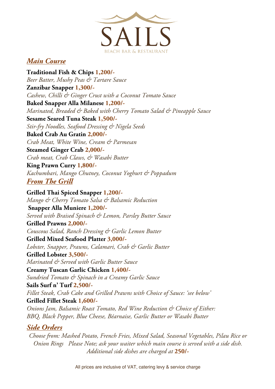

### *Main Course*

**Traditional Fish & Chips 1,200/-** *Beer Batter, Mushy Peas & Tartare Sauce* **Zanzibar Snapper 1,300/-** *Cashew, Chilli & Ginger Crust with a Coconut Tomato Sauce* **Baked Snapper Alla Milanese 1,200/-** *Marinated, Breaded & Baked with Cherry Tomato Salad & Pineapple Sauce* **Sesame Seared Tuna Steak 1,500/-** *Stir-fry Noodles, Seafood Dressing & Nigela Seeds* **Baked Crab Au Gratin 2,000/-** *Crab Meat, White Wine, Cream & Parmesan* **Steamed Ginger Crab 2,000/-** *Crab meat, Crab Claws, & Wasabi Butter* **King Prawn Curry 1,800/-** *Kachumbari, Mango Chutney, Coconut Yoghurt & Poppadum From The Grill*

**Grilled Thai Spiced Snapper 1,200/-** *Mango & Cherry Tomato Salsa & Balsamic Reduction* **Snapper Alla Muniere 1,200/-** *Served with Braised Spinach & Lemon, Parsley Butter Sauce* **Grilled Prawns 2,000/-** *Couscous Salad, Ranch Dressing & Garlic Lemon Butter* **Grilled Mixed Seafood Platter 3,000/-** *Lobster, Snapper, Prawns, Calamari, Crab & Garlic Butter* **Grilled Lobster 3,500/-** *Marinated & Served with Garlic Butter Sauce* **Creamy Tuscan Garlic Chicken 1,400/-**

*Sundried Tomato & Spinach in a Creamy Garlic Sauce* **Sails Surf n' Turf 2,500/-** *Fillet Steak, Crab Cake and Grilled Prawns with Choice of Sauce: 'see below'* 

#### **Grilled Fillet Steak 1,600/-**

*Onions Jam, Balsamic Roast Tomato, Red Wine Reduction & Choice of Either: BBQ, Black Pepper, Blue Cheese, Béarnaise, Garlic Butter or Wasabi Butter*

#### *Side Orders*

*Choose from: Mashed Potato, French Fries, Mixed Salad, Seasonal Vegetables, Pilau Rice or Onion Rings Please Note; ask your waiter which main course is served with a side dish. Additional side dishes are charged at* **250/-**